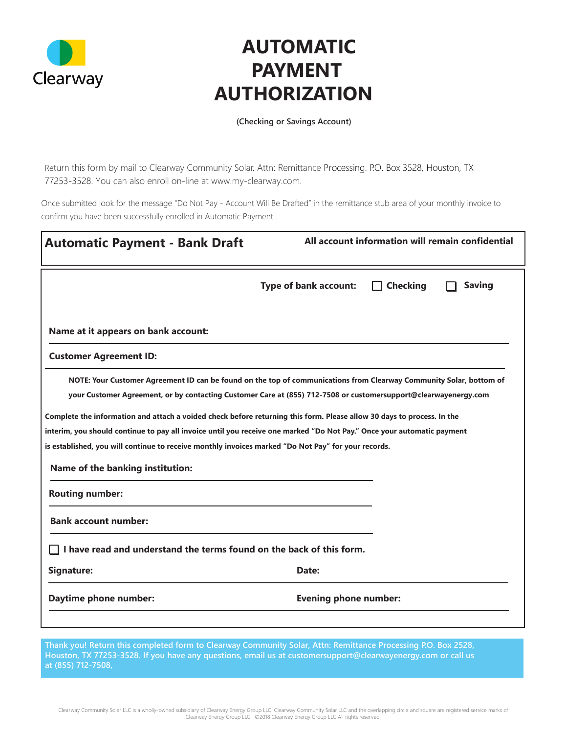

## **AUTOMATIC PAYMENT AUTHORIZATION**

**(Checking or Savings Account)**

Return this form by mail to Clearway Community Solar. Attn: Remittance Processing. P.O. Box 3528, Houston, TX 77253-3528. You can also enroll on-line at www.my-clearway.com.

Once submitted look for the message "Do Not Pay - Account Will Be Drafted" in the remittance stub area of your monthly invoice to confirm you have been successfully enrolled in Automatic Payment..

| <b>Automatic Payment - Bank Draft</b>                                                                                                                                                                                                                                                                                                                                                                                                                                                                                                                                                                                                 | All account information will remain confidential |                 |               |
|---------------------------------------------------------------------------------------------------------------------------------------------------------------------------------------------------------------------------------------------------------------------------------------------------------------------------------------------------------------------------------------------------------------------------------------------------------------------------------------------------------------------------------------------------------------------------------------------------------------------------------------|--------------------------------------------------|-----------------|---------------|
|                                                                                                                                                                                                                                                                                                                                                                                                                                                                                                                                                                                                                                       | <b>Type of bank account:</b>                     | <b>Checking</b> | <b>Saving</b> |
| Name at it appears on bank account:                                                                                                                                                                                                                                                                                                                                                                                                                                                                                                                                                                                                   |                                                  |                 |               |
| <b>Customer Agreement ID:</b>                                                                                                                                                                                                                                                                                                                                                                                                                                                                                                                                                                                                         |                                                  |                 |               |
| NOTE: Your Customer Agreement ID can be found on the top of communications from Clearway Community Solar, bottom of<br>your Customer Agreement, or by contacting Customer Care at (855) 712-7508 or customersupport@clearwayenergy.com<br>Complete the information and attach a voided check before returning this form. Please allow 30 days to process. In the<br>interim, you should continue to pay all invoice until you receive one marked "Do Not Pay." Once your automatic payment<br>is established, you will continue to receive monthly invoices marked "Do Not Pay" for your records.<br>Name of the banking institution: |                                                  |                 |               |
| <b>Routing number:</b>                                                                                                                                                                                                                                                                                                                                                                                                                                                                                                                                                                                                                |                                                  |                 |               |
| <b>Bank account number:</b>                                                                                                                                                                                                                                                                                                                                                                                                                                                                                                                                                                                                           |                                                  |                 |               |
| I have read and understand the terms found on the back of this form.                                                                                                                                                                                                                                                                                                                                                                                                                                                                                                                                                                  |                                                  |                 |               |
| Signature:                                                                                                                                                                                                                                                                                                                                                                                                                                                                                                                                                                                                                            | Date:                                            |                 |               |
| Daytime phone number:                                                                                                                                                                                                                                                                                                                                                                                                                                                                                                                                                                                                                 | <b>Evening phone number:</b>                     |                 |               |

**Thank you! Return this completed form to Clearway Community Solar, Attn: Remittance Processing P.O. Box 2528, Houston, TX 77253-3528. If you have any questions, email us at customersupport@clearwayenergy.com or call us at (855) 712-7508.**